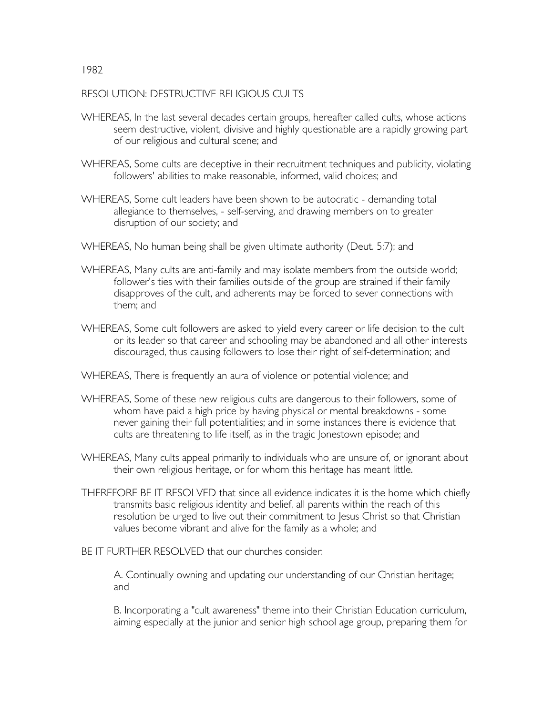## RESOLUTION: DESTRUCTIVE RELIGIOUS CULTS

- WHEREAS, In the last several decades certain groups, hereafter called cults, whose actions seem destructive, violent, divisive and highly questionable are a rapidly growing part of our religious and cultural scene; and
- WHEREAS, Some cults are deceptive in their recruitment techniques and publicity, violating followers' abilities to make reasonable, informed, valid choices; and
- WHEREAS, Some cult leaders have been shown to be autocratic demanding total allegiance to themselves, - self-serving, and drawing members on to greater disruption of our society; and
- WHEREAS, No human being shall be given ultimate authority (Deut. 5:7); and
- WHEREAS, Many cults are anti-family and may isolate members from the outside world; follower's ties with their families outside of the group are strained if their family disapproves of the cult, and adherents may be forced to sever connections with them; and
- WHEREAS, Some cult followers are asked to yield every career or life decision to the cult or its leader so that career and schooling may be abandoned and all other interests discouraged, thus causing followers to lose their right of self-determination; and
- WHEREAS, There is frequently an aura of violence or potential violence; and
- WHEREAS, Some of these new religious cults are dangerous to their followers, some of whom have paid a high price by having physical or mental breakdowns - some never gaining their full potentialities; and in some instances there is evidence that cults are threatening to life itself, as in the tragic Jonestown episode; and
- WHEREAS, Many cults appeal primarily to individuals who are unsure of, or ignorant about their own religious heritage, or for whom this heritage has meant little.
- THEREFORE BE IT RESOLVED that since all evidence indicates it is the home which chiefly transmits basic religious identity and belief, all parents within the reach of this resolution be urged to live out their commitment to Jesus Christ so that Christian values become vibrant and alive for the family as a whole; and

BE IT FURTHER RESOLVED that our churches consider:

A. Continually owning and updating our understanding of our Christian heritage; and

B. Incorporating a "cult awareness" theme into their Christian Education curriculum, aiming especially at the junior and senior high school age group, preparing them for

## 1982